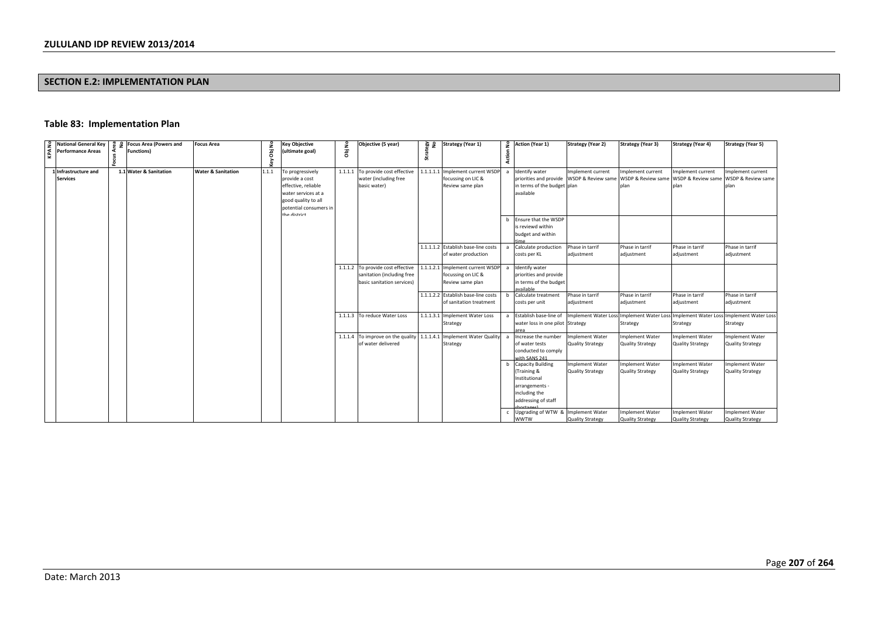# **SECTION E.2: IMPLEMENTATION PLAN**

# **Table 83: Implementation Plan**

| KPA No | <b>National General Key</b> | <b>8</b> 9 Focus Area (Powers and | <b>Focus Area</b>             |       | Key Objective          | £ | Objective (5 year)                          | 음 烧       | Strategy (Year 1)                   |                | 2 Action (Year 1)                         | <b>Strategy (Year 2)</b> | <b>Strategy (Year 3)</b> | <b>Strategy (Year 4)</b>                                                                                     | <b>Strategy (Year 5)</b> |
|--------|-----------------------------|-----------------------------------|-------------------------------|-------|------------------------|---|---------------------------------------------|-----------|-------------------------------------|----------------|-------------------------------------------|--------------------------|--------------------------|--------------------------------------------------------------------------------------------------------------|--------------------------|
|        | <b>Performance Areas</b>    | <b>Functions</b> )                |                               |       | (ultimate goal)        |   |                                             |           |                                     |                |                                           |                          |                          |                                                                                                              |                          |
|        |                             |                                   |                               | ā     |                        | ā |                                             | strat     |                                     | Action         |                                           |                          |                          |                                                                                                              |                          |
|        |                             |                                   |                               |       |                        |   |                                             |           |                                     |                |                                           |                          |                          |                                                                                                              |                          |
|        | 1 Infrastructure and        | 1.1 Water & Sanitation            | <b>Water &amp; Sanitation</b> | 1.1.1 | To progressively       |   | 1.1.1.1 To provide cost effective           | 1.1.1.1.1 | Implement current WSDP              |                | Identify water                            | Implement current        | Implement current        | Implement current                                                                                            | mplement current         |
|        | <b>Services</b>             |                                   |                               |       | provide a cost         |   | water (including free                       |           | focussing on LIC &                  |                | priorities and provide WSDP & Review same |                          | WSDP & Review same       | WSDP & Review same                                                                                           | WSDP & Review same       |
|        |                             |                                   |                               |       | effective, reliable    |   | basic water)                                |           | Review same plan                    |                | in terms of the budget plan               |                          | nlan                     | nlan                                                                                                         | alan                     |
|        |                             |                                   |                               |       | water services at a    |   |                                             |           |                                     |                | available                                 |                          |                          |                                                                                                              |                          |
|        |                             |                                   |                               |       | good quality to all    |   |                                             |           |                                     |                |                                           |                          |                          |                                                                                                              |                          |
|        |                             |                                   |                               |       | potential consumers in |   |                                             |           |                                     |                |                                           |                          |                          |                                                                                                              |                          |
|        |                             |                                   |                               |       | the dictrict           |   |                                             |           |                                     |                |                                           |                          |                          |                                                                                                              |                          |
|        |                             |                                   |                               |       |                        |   |                                             |           |                                     |                | b Ensure that the WSDP                    |                          |                          |                                                                                                              |                          |
|        |                             |                                   |                               |       |                        |   |                                             |           |                                     |                | is reviewd within                         |                          |                          |                                                                                                              |                          |
|        |                             |                                   |                               |       |                        |   |                                             |           |                                     |                | budget and within                         |                          |                          |                                                                                                              |                          |
|        |                             |                                   |                               |       |                        |   |                                             |           |                                     |                |                                           |                          |                          |                                                                                                              |                          |
|        |                             |                                   |                               |       |                        |   |                                             |           | 1.1.1.1.2 Establish base-line costs | $\overline{a}$ | Calculate production                      | Phase in tarrif          | Phase in tarrif          | Phase in tarrif                                                                                              | Phase in tarrif          |
|        |                             |                                   |                               |       |                        |   |                                             |           | of water production                 |                | costs per KL                              | adjustment               | adjustment               | adjustment                                                                                                   | adjustment               |
|        |                             |                                   |                               |       |                        |   |                                             |           |                                     |                |                                           |                          |                          |                                                                                                              |                          |
|        |                             |                                   |                               |       |                        |   | 1.1.1.2 To provide cost effective           |           | 1.1.1.2.1 Implement current WSDP    | $\overline{a}$ | Identify water                            |                          |                          |                                                                                                              |                          |
|        |                             |                                   |                               |       |                        |   | sanitation (including free                  |           | focussing on LIC &                  |                | priorities and provide                    |                          |                          |                                                                                                              |                          |
|        |                             |                                   |                               |       |                        |   | basic sanitation services)                  |           | Review same plan                    |                | in terms of the budget                    |                          |                          |                                                                                                              |                          |
|        |                             |                                   |                               |       |                        |   |                                             |           |                                     |                | wailahle                                  |                          |                          |                                                                                                              |                          |
|        |                             |                                   |                               |       |                        |   |                                             |           | 1.1.1.2.2 Establish base-line costs | b              | Calculate treatment                       | Phase in tarrif          | Phase in tarrif          | Phase in tarrif                                                                                              | Phase in tarrif          |
|        |                             |                                   |                               |       |                        |   |                                             |           | of sanitation treatment             |                | costs per unit                            | adjustment               | adjustment               | adjustment                                                                                                   | adjustment               |
|        |                             |                                   |                               |       |                        |   | 1.1.1.3 To reduce Water Loss                |           | 1.1.1.3.1 Implement Water Loss      |                |                                           |                          |                          | a Establish base-line of Implement Water Loss Implement Water Loss Implement Water Loss Implement Water Loss |                          |
|        |                             |                                   |                               |       |                        |   |                                             |           |                                     |                |                                           |                          |                          |                                                                                                              |                          |
|        |                             |                                   |                               |       |                        |   |                                             |           | Strategy                            |                | water loss in one pilot Strategy          |                          | Strategy                 | Strategy                                                                                                     | Strategy                 |
|        |                             |                                   |                               |       |                        |   | 1.1.1.4 To improve on the quality 1.1.1.4.1 |           | <b>Implement Water Quality</b>      |                | Increase the number                       | Implement Water          | Implement Water          | mplement Water                                                                                               | mplement Water           |
|        |                             |                                   |                               |       |                        |   | of water delivered                          |           | Strategy                            |                | of water tests                            | Quality Strategy         | <b>Quality Strategy</b>  | <b>Quality Strategy</b>                                                                                      | <b>Quality Strategy</b>  |
|        |                             |                                   |                               |       |                        |   |                                             |           |                                     |                | conducted to comply                       |                          |                          |                                                                                                              |                          |
|        |                             |                                   |                               |       |                        |   |                                             |           |                                     |                | with SANS 241                             |                          |                          |                                                                                                              |                          |
|        |                             |                                   |                               |       |                        |   |                                             |           |                                     | h              | <b>Capacity Building</b>                  | Implement Water          | Implement Water          | <b>Implement Water</b>                                                                                       | mplement Water           |
|        |                             |                                   |                               |       |                        |   |                                             |           |                                     |                | (Training &                               | <b>Quality Strategy</b>  | <b>Quality Strategy</b>  | <b>Quality Strategy</b>                                                                                      | <b>Quality Strategy</b>  |
|        |                             |                                   |                               |       |                        |   |                                             |           |                                     |                | Institutional                             |                          |                          |                                                                                                              |                          |
|        |                             |                                   |                               |       |                        |   |                                             |           |                                     |                | arrangements -                            |                          |                          |                                                                                                              |                          |
|        |                             |                                   |                               |       |                        |   |                                             |           |                                     |                | including the                             |                          |                          |                                                                                                              |                          |
|        |                             |                                   |                               |       |                        |   |                                             |           |                                     |                | addressing of staff                       |                          |                          |                                                                                                              |                          |
|        |                             |                                   |                               |       |                        |   |                                             |           |                                     |                | $h$ o stages                              |                          |                          |                                                                                                              |                          |
|        |                             |                                   |                               |       |                        |   |                                             |           |                                     |                | Upgrading of WTW & Implement Water        |                          | Implement Water          | mplement Water                                                                                               | mplement Water           |
|        |                             |                                   |                               |       |                        |   |                                             |           |                                     |                | <b>WWTW</b>                               | <b>Quality Strategy</b>  | <b>Quality Strategy</b>  | <b>Quality Strategy</b>                                                                                      | <b>Quality Strategy</b>  |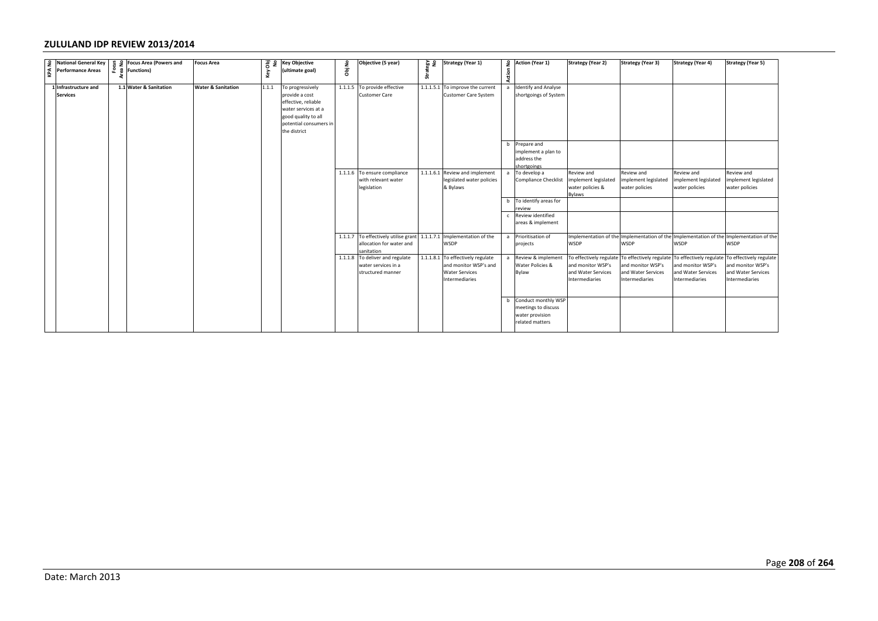| $\frac{9}{2}$ National General Key<br>$\frac{9}{2}$ Performance Areas |                                                                                 | <b>Focus Area</b>             |       | 공 운 Key Objective                          | ٤                       | Objective (5 year)                            |       | $\frac{26}{9}$ $\frac{2}{9}$ Strategy (Year 1) |        | 2 Action (Year 1)                            | <b>Strategy (Year 2)</b>   | <b>Strategy (Year 3)</b> | <b>Strategy (Year 4)</b>                                                                | <b>Strategy (Year 5)</b> |
|-----------------------------------------------------------------------|---------------------------------------------------------------------------------|-------------------------------|-------|--------------------------------------------|-------------------------|-----------------------------------------------|-------|------------------------------------------------|--------|----------------------------------------------|----------------------------|--------------------------|-----------------------------------------------------------------------------------------|--------------------------|
|                                                                       | $\begin{array}{c} 89 \ 20 \ 120 \ 121 \ 232 \ 342 \ 453 \end{array}$ Functions) |                               | Key   | (ultimate goal)                            | $\overline{\mathbf{g}}$ |                                               | Strat |                                                | Action |                                              |                            |                          |                                                                                         |                          |
| 1 Infrastructure and                                                  | 1.1 Water & Sanitation                                                          | <b>Water &amp; Sanitation</b> | 1.1.1 | To progressively                           |                         | 1.1.1.5 To provide effective                  |       | 1.1.1.5.1 To improve the current               |        | a Identify and Analyse                       |                            |                          |                                                                                         |                          |
| <b>Services</b>                                                       |                                                                                 |                               |       | provide a cost                             |                         | <b>Customer Care</b>                          |       | Customer Care System                           |        | shortgoings of System                        |                            |                          |                                                                                         |                          |
|                                                                       |                                                                                 |                               |       | effective, reliable                        |                         |                                               |       |                                                |        |                                              |                            |                          |                                                                                         |                          |
|                                                                       |                                                                                 |                               |       | water services at a<br>good quality to all |                         |                                               |       |                                                |        |                                              |                            |                          |                                                                                         |                          |
|                                                                       |                                                                                 |                               |       | potential consumers in                     |                         |                                               |       |                                                |        |                                              |                            |                          |                                                                                         |                          |
|                                                                       |                                                                                 |                               |       | the district                               |                         |                                               |       |                                                |        |                                              |                            |                          |                                                                                         |                          |
|                                                                       |                                                                                 |                               |       |                                            |                         |                                               |       |                                                |        | b Prepare and                                |                            |                          |                                                                                         |                          |
|                                                                       |                                                                                 |                               |       |                                            |                         |                                               |       |                                                |        | implement a plan to                          |                            |                          |                                                                                         |                          |
|                                                                       |                                                                                 |                               |       |                                            |                         |                                               |       |                                                |        | address the<br>hortgoings                    |                            |                          |                                                                                         |                          |
|                                                                       |                                                                                 |                               |       |                                            |                         | 1.1.1.6 To ensure compliance                  |       | 1.1.1.6.1 Review and implement                 |        | a To develop a                               | Review and                 | Review and               | Review and                                                                              | Review and               |
|                                                                       |                                                                                 |                               |       |                                            |                         | with relevant water                           |       | legislated water policies                      |        | Compliance Checklist                         | implement legislated       | implement legislated     | mplement legislated                                                                     | implement legislated     |
|                                                                       |                                                                                 |                               |       |                                            |                         | legislation                                   |       | & Bylaws                                       |        |                                              | water policies &<br>Bylaws | water policies           | water policies                                                                          | water policies           |
|                                                                       |                                                                                 |                               |       |                                            |                         |                                               |       |                                                |        | b To identify areas for                      |                            |                          |                                                                                         |                          |
|                                                                       |                                                                                 |                               |       |                                            |                         |                                               |       |                                                |        | eview<br>c Review identified                 |                            |                          |                                                                                         |                          |
|                                                                       |                                                                                 |                               |       |                                            |                         |                                               |       |                                                |        | areas & implement                            |                            |                          |                                                                                         |                          |
|                                                                       |                                                                                 |                               |       |                                            |                         | 1.1.1.7 To effectively utilise grant          |       | 1.1.1.7.1 Implementation of the                |        | a Prioritisation of                          |                            |                          | Implementation of the Implementation of the Implementation of the Implementation of the |                          |
|                                                                       |                                                                                 |                               |       |                                            |                         | allocation for water and                      |       | WSDP                                           |        | projects                                     | <b>WSDP</b>                | <b>WSDP</b>              | <b>WSDP</b>                                                                             | WSDP                     |
|                                                                       |                                                                                 |                               |       |                                            |                         | sanitation<br>1.1.1.8 To deliver and regulate |       | 1.1.1.8.1 To effectively regulate              |        | a Review & implement                         | To effectively regulate    |                          | To effectively regulate To effectively regulate                                         | To effectively regulate  |
|                                                                       |                                                                                 |                               |       |                                            |                         | water services in a                           |       | and monitor WSP's and                          |        | Water Policies &                             | and monitor WSP's          | and monitor WSP's        | and monitor WSP's                                                                       | and monitor WSP's        |
|                                                                       |                                                                                 |                               |       |                                            |                         | structured manner                             |       | <b>Water Services</b>                          |        | Bylaw                                        | and Water Services         | and Water Services       | and Water Services                                                                      | and Water Services       |
|                                                                       |                                                                                 |                               |       |                                            |                         |                                               |       | Intermediaries                                 |        |                                              | Intermediaries             | Intermediaries           | Intermediaries                                                                          | Intermediaries           |
|                                                                       |                                                                                 |                               |       |                                            |                         |                                               |       |                                                |        |                                              |                            |                          |                                                                                         |                          |
|                                                                       |                                                                                 |                               |       |                                            |                         |                                               |       |                                                |        | b Conduct monthly WSP<br>meetings to discuss |                            |                          |                                                                                         |                          |
|                                                                       |                                                                                 |                               |       |                                            |                         |                                               |       |                                                |        | water provision                              |                            |                          |                                                                                         |                          |
|                                                                       |                                                                                 |                               |       |                                            |                         |                                               |       |                                                |        | related matters                              |                            |                          |                                                                                         |                          |
|                                                                       |                                                                                 |                               |       |                                            |                         |                                               |       |                                                |        |                                              |                            |                          |                                                                                         |                          |
|                                                                       |                                                                                 |                               |       |                                            |                         |                                               |       |                                                |        |                                              |                            |                          |                                                                                         | Pag                      |
| Date: March 2013                                                      |                                                                                 |                               |       |                                            |                         |                                               |       |                                                |        |                                              |                            |                          |                                                                                         |                          |
|                                                                       |                                                                                 |                               |       |                                            |                         |                                               |       |                                                |        |                                              |                            |                          |                                                                                         |                          |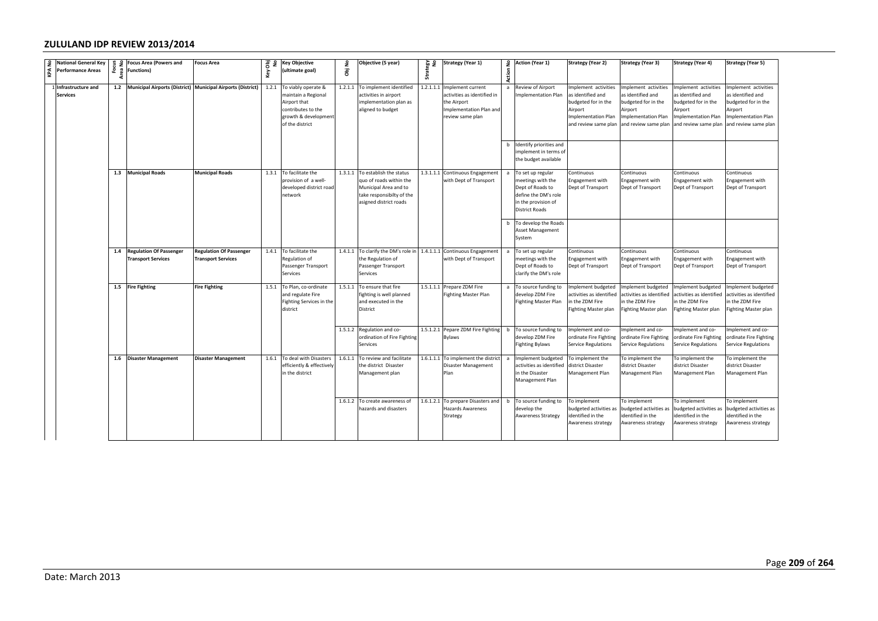| No          | <b>National General Key</b>           | $\begin{bmatrix} 9 & 2 \\ 3 & 8 \\ 2 & 8 \end{bmatrix}$ Focus Area (Powers and | <b>Focus Area</b>                                           |       | 공 운 Key Objective                                                                                                                 | £       | Objective (5 year)                                                                                                                         | on<br>Kâa | <b>Strategy (Year 1)</b>                                                                                       |        | 2 Action (Year 1)                                                                                                                    | <b>Strategy (Year 2)</b>                                                                                                  | <b>Strategy (Year 3)</b>                                                                                                          | <b>Strategy (Year 4)</b>                                                                                                  | <b>Strategy (Year 5)</b>                                                                                                  |
|-------------|---------------------------------------|--------------------------------------------------------------------------------|-------------------------------------------------------------|-------|-----------------------------------------------------------------------------------------------------------------------------------|---------|--------------------------------------------------------------------------------------------------------------------------------------------|-----------|----------------------------------------------------------------------------------------------------------------|--------|--------------------------------------------------------------------------------------------------------------------------------------|---------------------------------------------------------------------------------------------------------------------------|-----------------------------------------------------------------------------------------------------------------------------------|---------------------------------------------------------------------------------------------------------------------------|---------------------------------------------------------------------------------------------------------------------------|
| <b>IVAN</b> | <b>Performance Areas</b>              |                                                                                |                                                             | Key   | (ultimate goal)                                                                                                                   | ā       |                                                                                                                                            | Strat     |                                                                                                                | Action |                                                                                                                                      |                                                                                                                           |                                                                                                                                   |                                                                                                                           |                                                                                                                           |
|             | Infrastructure and<br><b>Services</b> | 1.2 Municipal Airports (District) Municipal Airports (District)                |                                                             |       | 1.2.1 To viably operate &<br>maintain a Regional<br>Airport that<br>contributes to the<br>growth & development<br>of the district |         | 1.2.1.1 To implement identified<br>activities in airport<br>implementation plan as<br>aligned to budget                                    | 1.2.1.1.1 | Implement current<br>activities as identified in<br>the Airport<br>Implementation Plan and<br>review same plan |        | Review of Airport<br>mplementation Plan                                                                                              | mplement activities<br>as identified and<br>budgeted for in the<br>Airport<br>Implementation Plan<br>and review same plan | Implement activities<br>as identified and<br>budgeted for in the<br>Airport<br><b>Implementation Plan</b><br>and review same plan | Implement activities<br>as identified and<br>oudgeted for in the<br>Airport<br>mplementation Plan<br>and review same plan | Implement activities<br>as identified and<br>budgeted for in the<br>Airport<br>mplementation Plan<br>and review same plan |
|             |                                       |                                                                                |                                                             |       |                                                                                                                                   |         |                                                                                                                                            |           |                                                                                                                |        | b Identify priorities and<br>mplement in terms of<br>the budget available                                                            |                                                                                                                           |                                                                                                                                   |                                                                                                                           |                                                                                                                           |
|             |                                       | 1.3 Municipal Roads                                                            | <b>Municipal Roads</b>                                      |       | 1.3.1 To facilitate the<br>provision of a well-<br>developed district road<br>network                                             |         | 1.3.1.1 To establish the status<br>quo of roads within the<br>Municipal Area and to<br>take responsibilty of the<br>asigned district roads |           | 1.3.1.1.1 Continuous Engagement<br>with Dept of Transport                                                      |        | a To set up regular<br>meetings with the<br>Dept of Roads to<br>define the DM's role<br>in the provision of<br><b>District Roads</b> | continuous<br>ingagement with<br>Dept of Transport                                                                        | Continuous<br>Engagement with<br>Dept of Transport                                                                                | Continuous<br>ingagement with<br>Dept of Transport                                                                        | continuous<br>ingagement with<br>Dept of Transport                                                                        |
|             |                                       |                                                                                |                                                             |       |                                                                                                                                   |         |                                                                                                                                            |           |                                                                                                                |        | b To develop the Roads<br>Asset Management<br>System                                                                                 |                                                                                                                           |                                                                                                                                   |                                                                                                                           |                                                                                                                           |
|             |                                       | 1.4 Regulation Of Passenger<br><b>Transport Services</b>                       | <b>Regulation Of Passenger</b><br><b>Transport Services</b> |       | 1.4.1 To facilitate the<br>Regulation of<br>Passenger Transport<br>Services                                                       |         | 1.4.1.1 To clarify the DM's role in<br>the Regulation of<br>Passenger Transport<br>Services                                                |           | 1.4.1.1.1 Continuous Engagement<br>with Dept of Transport                                                      | a      | To set up regular<br>neetings with the<br>Dept of Roads to<br>clarify the DM's role                                                  | Continuous<br>Engagement with<br>Dept of Transport                                                                        | Continuous<br>Engagement with<br>Dept of Transport                                                                                | Continuous<br>Engagement with<br>Dept of Transport                                                                        | Continuous<br>Engagement with<br>Dept of Transport                                                                        |
|             |                                       | 1.5 Fire Fighting                                                              | <b>Fire Fighting</b>                                        |       | 1.5.1 To Plan, co-ordinate<br>and regulate Fire<br>Fighting Services in the<br>district                                           |         | 1.5.1.1 To ensure that fire<br>fighting is well planned<br>and executed in the<br>District                                                 |           | 1.5.1.1.1 Prepare ZDM Fire<br><b>Fighting Master Plan</b>                                                      |        | To source funding to<br>develop ZDM Fire<br>Fighting Master Plan                                                                     | mplement budgeted<br>activities as identified<br>in the ZDM Fire<br>ighting Master plan                                   | Implement budgeted<br>activities as identified<br>in the ZDM Fire<br><b>Fighting Master plan</b>                                  | Implement budgeted<br>activities as identified<br>n the ZDM Fire<br>ighting Master plan                                   | nplement budgeted<br>activities as identified<br>n the ZDM Fire<br>ighting Master plan                                    |
|             |                                       |                                                                                |                                                             |       |                                                                                                                                   |         | 1.5.1.2 Regulation and co-<br>ordination of Fire Fighting<br>Services                                                                      |           | 1.5.1.2.1 Pepare ZDM Fire Fighting<br>Bylaws                                                                   | b      | To source funding to<br>develop ZDM Fire<br>Fighting Bylaws                                                                          | Implement and co-<br>ordinate Fire Fighting<br>Service Regulations                                                        | Implement and co-<br>ordinate Fire Fighting<br>Service Regulations                                                                | Implement and co-<br>ordinate Fire Fighting<br>Service Regulations                                                        | mplement and co-<br>ordinate Fire Fighting<br>Service Regulations                                                         |
|             |                                       | 1.6 Disaster Management                                                        | <b>Disaster Management</b>                                  | 1.6.1 | To deal with Disasters<br>efficiently & effectively<br>in the district                                                            | 1.6.1.1 | To review and facilitate<br>he district Disaster<br>Management plan                                                                        |           | 1.6.1.1.1 To implement the district<br>Disaster Management<br>Plan                                             | a      | Implement budgeted<br>ctivities as identified<br>n the Disaster<br>Management Plan                                                   | To implement the<br>district Disaster<br>Management Plan                                                                  | To implement the<br>district Disaster<br>Management Plan                                                                          | To implement the<br>district Disaster<br>Management Plan                                                                  | To implement the<br>district Disaster<br>Management Plan                                                                  |
|             |                                       |                                                                                |                                                             |       |                                                                                                                                   |         | 1.6.1.2 To create awareness of<br>azards and disasters                                                                                     |           | 1.6.1.2.1 To prepare Disasters and<br>Hazards Awareness<br>Strategy                                            | b      | To source funding to<br>develop the<br>Awareness Strategy                                                                            | To implement<br>oudgeted activities as<br>identified in the<br>Awareness strategy                                         | To implement<br>budgeted activities as<br>identified in the<br>Awareness strategy                                                 | To implement<br>budgeted activities as<br>identified in the<br>Awareness strategy                                         | To implement<br>budgeted activities as<br>identified in the<br>Awareness strategy                                         |
|             |                                       |                                                                                |                                                             |       |                                                                                                                                   |         |                                                                                                                                            |           |                                                                                                                |        |                                                                                                                                      |                                                                                                                           |                                                                                                                                   |                                                                                                                           |                                                                                                                           |
|             |                                       |                                                                                |                                                             |       |                                                                                                                                   |         |                                                                                                                                            |           |                                                                                                                |        |                                                                                                                                      |                                                                                                                           |                                                                                                                                   |                                                                                                                           | Pag                                                                                                                       |
|             | Date: March 2013                      |                                                                                |                                                             |       |                                                                                                                                   |         |                                                                                                                                            |           |                                                                                                                |        |                                                                                                                                      |                                                                                                                           |                                                                                                                                   |                                                                                                                           |                                                                                                                           |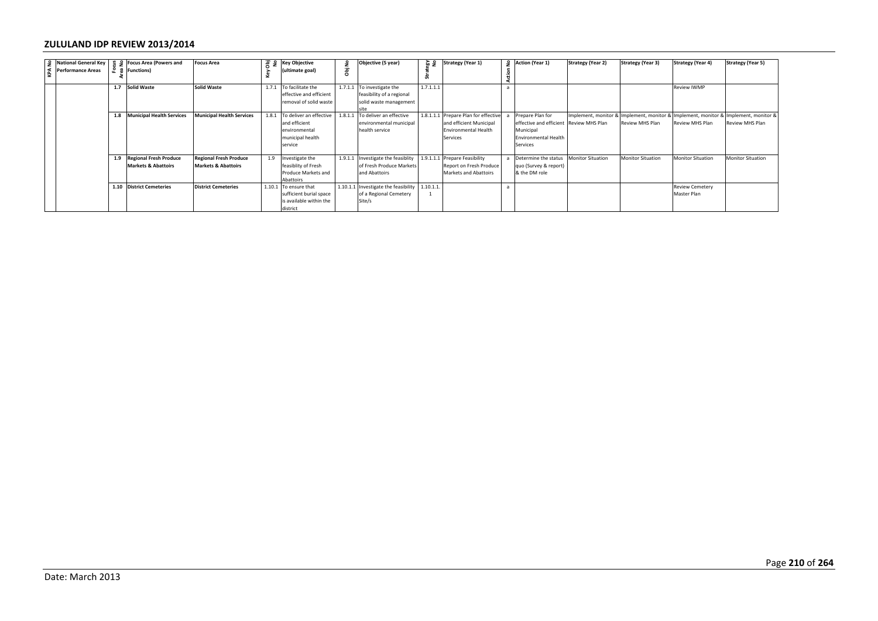| $\begin{array}{c c}\n\text{L}\n\end{array}\n\text{National General Key} \begin{array}{c}\n\text{S} \\ \text{S} \\ \text{S}\n\end{array}\n\begin{array}{c}\n\text{Focus Area (Powers and Powers)}\\ \text{E}\n\end{array}$ |                                                              | <b>Focus Area</b>                                               | Key | 8 2 Key Objective<br>(ultimate goal)                                                           | Obj No | Objective (5 year)                                                                | egy<br>N9<br>Strat       | <b>Strategy (Year 1)</b>                                                                            | Action I     | $\frac{6}{2}$ Action (Year 1)                                                                         | <b>Strategy (Year 2)</b> | <b>Strategy (Year 3)</b>                                                                               | <b>Strategy (Year 4)</b>              | <b>Strategy (Year 5)</b> |
|---------------------------------------------------------------------------------------------------------------------------------------------------------------------------------------------------------------------------|--------------------------------------------------------------|-----------------------------------------------------------------|-----|------------------------------------------------------------------------------------------------|--------|-----------------------------------------------------------------------------------|--------------------------|-----------------------------------------------------------------------------------------------------|--------------|-------------------------------------------------------------------------------------------------------|--------------------------|--------------------------------------------------------------------------------------------------------|---------------------------------------|--------------------------|
|                                                                                                                                                                                                                           | 1.7 Solid Waste                                              | <b>Solid Waste</b>                                              |     | 1.7.1 To facilitate the<br>effective and efficient<br>emoval of solid waste                    |        | 1.7.1.1 To investigate the<br>feasibility of a regional<br>solid waste management | 1.7.1.1.1                |                                                                                                     | $\mathsf{a}$ |                                                                                                       |                          |                                                                                                        | <b>Review IWMP</b>                    |                          |
|                                                                                                                                                                                                                           | 1.8 Municipal Health Services                                | <b>Municipal Health Services</b>                                |     | 1.8.1 To deliver an effective<br>and efficient<br>environmental<br>municipal health<br>service |        | 1.8.1.1 To deliver an effective<br>environmental municipal<br>health service      |                          | 1.8.1.1.1 Prepare Plan for effective<br>and efficient Municipal<br>Environmental Health<br>Services |              | a Prepare Plan for<br>effective and efficient<br>Municipal<br><b>Environmental Health</b><br>Services | Review MHS Plan          | Implement, monitor & Implement, monitor & Implement, monitor & Implement, monitor &<br>Review MHS Plan | Review MHS Plan                       | Review MHS Plan          |
|                                                                                                                                                                                                                           | 1.9 Regional Fresh Produce<br><b>Markets &amp; Abattoirs</b> | <b>Regional Fresh Produce</b><br><b>Markets &amp; Abattoirs</b> | 1.9 | Investigate the<br>feasiblity of Fresh<br>Produce Markets and<br>Abattoirs                     |        | 1.9.1.1 Investigate the feasiblity<br>of Fresh Produce Markets<br>and Abattoirs   |                          | 1.9.1.1.1 Prepare Feasibility<br>Report on Fresh Produce<br>Markets and Abattoirs                   | a            | Determine the status<br>quo (Survey & report)<br>& the DM role                                        | Monitor Situation        | <b>Monitor Situation</b>                                                                               | <b>Monitor Situation</b>              | <b>Monitor Situation</b> |
|                                                                                                                                                                                                                           | 1.10 District Cemeteries                                     | <b>District Cemeteries</b>                                      |     | 1.10.1 To ensure that<br>sufficient burial space<br>is available within the<br>district        |        | 1.10.1.1 Investigate the feasibility<br>of a Regional Cemetery<br>Site/s          | 1.10.1.1<br>$\mathbf{1}$ |                                                                                                     | $\mathsf{a}$ |                                                                                                       |                          |                                                                                                        | <b>Review Cemetery</b><br>Master Plan |                          |
|                                                                                                                                                                                                                           |                                                              |                                                                 |     |                                                                                                |        |                                                                                   |                          |                                                                                                     |              |                                                                                                       |                          |                                                                                                        |                                       |                          |
|                                                                                                                                                                                                                           |                                                              |                                                                 |     |                                                                                                |        |                                                                                   |                          |                                                                                                     |              |                                                                                                       |                          |                                                                                                        |                                       |                          |
| Date: March 2013                                                                                                                                                                                                          |                                                              |                                                                 |     |                                                                                                |        |                                                                                   |                          |                                                                                                     |              |                                                                                                       |                          |                                                                                                        |                                       | Pag                      |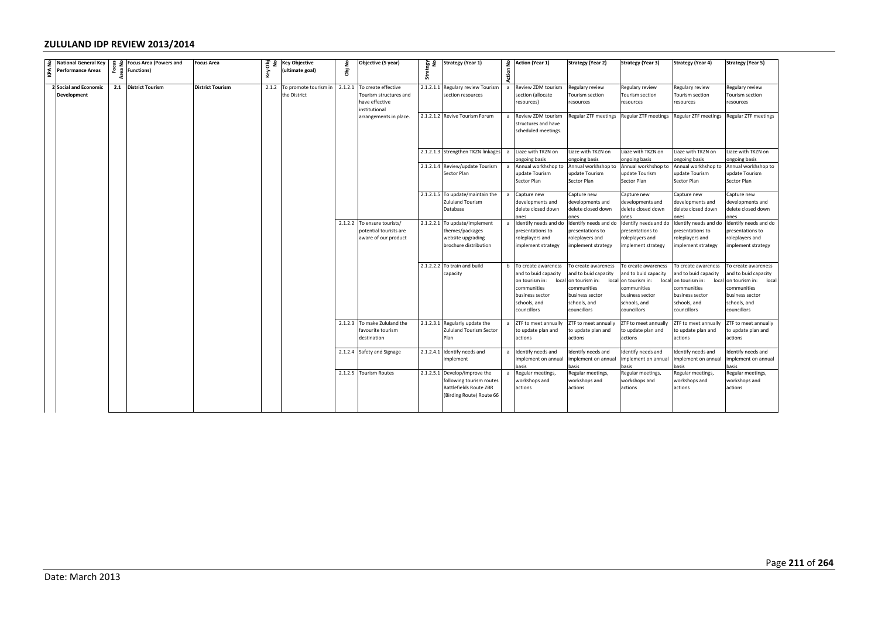| <b>2</b> National General Key                                                                | $\begin{array}{cc} 2 & 2 \\ 0 & 2 \\ 0 & 0 \end{array}$ Focus Area (Powers and | <b>Focus Area</b>       | es<br>o | <b>Key Objective</b>        | ۽ | Objective (5 year)                             | 음 5일  | <b>Strategy (Year 1)</b>                                  |                | 2 Action (Year 1)                      | <b>Strategy (Year 2)</b>               | Strategy (Year 3)                      | <b>Strategy (Year 4)</b>              | <b>Strategy (Year 5)</b>              |
|----------------------------------------------------------------------------------------------|--------------------------------------------------------------------------------|-------------------------|---------|-----------------------------|---|------------------------------------------------|-------|-----------------------------------------------------------|----------------|----------------------------------------|----------------------------------------|----------------------------------------|---------------------------------------|---------------------------------------|
| $\left  \begin{array}{c} \overline{a} \\ \overline{b} \end{array} \right $ Performance Areas |                                                                                |                         | ζēγ     | (ultimate goal)             | ā |                                                | Strai |                                                           | Action         |                                        |                                        |                                        |                                       |                                       |
| 2 Social and Economic                                                                        | 2.1 District Tourism                                                           | <b>District Tourism</b> |         | 2.1.2 To promote tourism in |   | 2.1.2.1 To create effective                    |       | 2.1.2.1.1 Regulary review Tourism                         | $\mathsf{a}$   | Review ZDM tourism                     | Regulary review                        | Regulary review                        | Regulary review                       | Regulary review                       |
| <b>Development</b>                                                                           |                                                                                |                         |         | he District                 |   | Tourism structures and                         |       | section resources                                         |                | section (allocate                      | Tourism section                        | Tourism section                        | Tourism section                       | Tourism section                       |
|                                                                                              |                                                                                |                         |         |                             |   | have effective                                 |       |                                                           |                | resources)                             | resources                              | resources                              | resources                             | resources                             |
|                                                                                              |                                                                                |                         |         |                             |   | institutional<br>arrangements in place.        |       | 2.1.2.1.2 Revive Tourism Forum                            | $\overline{a}$ | Review ZDM tourism                     | Regular ZTF meetings                   | Regular ZTF meetings                   | Regular ZTF meetings                  | Regular ZTF meetings                  |
|                                                                                              |                                                                                |                         |         |                             |   |                                                |       |                                                           |                | structures and have                    |                                        |                                        |                                       |                                       |
|                                                                                              |                                                                                |                         |         |                             |   |                                                |       |                                                           |                | scheduled meetings.                    |                                        |                                        |                                       |                                       |
|                                                                                              |                                                                                |                         |         |                             |   |                                                |       |                                                           |                |                                        |                                        |                                        |                                       |                                       |
|                                                                                              |                                                                                |                         |         |                             |   |                                                |       | 2.1.2.1.3 Strengthen TKZN linkages                        | a              | Liaze with TKZN on<br>ongoing basis    | Liaze with TKZN on<br>ongoing basis    | Liaze with TKZN on<br>ongoing basis    | Liaze with TKZN on<br>ongoing basis   | Liaze with TKZN on<br>ngoing basis    |
|                                                                                              |                                                                                |                         |         |                             |   |                                                |       | 2.1.2.1.4 Review/update Tourism                           | a              | Annual workhshop to                    | Annual workhshop to                    | Annual workhshop to                    | Annual workhshop to                   | Annual workhshop to                   |
|                                                                                              |                                                                                |                         |         |                             |   |                                                |       | Sector Plan                                               |                | update Tourism                         | update Tourism                         | update Tourism                         | update Tourism                        | update Tourism                        |
|                                                                                              |                                                                                |                         |         |                             |   |                                                |       |                                                           |                | Sector Plan                            | Sector Plan                            | Sector Plan                            | Sector Plan                           | Sector Plan                           |
|                                                                                              |                                                                                |                         |         |                             |   |                                                |       | 2.1.2.1.5 To update/maintain the                          | $\overline{a}$ | Capture new                            | Capture new                            | Capture new                            | Capture new                           | Capture new                           |
|                                                                                              |                                                                                |                         |         |                             |   |                                                |       | Zululand Tourism<br>Database                              |                | developments and                       | developments and                       | developments and                       | developments and                      | developments and                      |
|                                                                                              |                                                                                |                         |         |                             |   |                                                |       |                                                           |                | delete closed down<br>ones             | delete closed down<br>ones             | delete closed down<br>ones             | delete closed down<br>nes             | delete closed down<br>nes             |
|                                                                                              |                                                                                |                         |         |                             |   | 2.1.2.2 To ensure tourists/                    |       | 2.1.2.2.1 To update/implement                             |                | a Identify needs and do                | Identify needs and do                  | Identify needs and do                  | Identify needs and do                 | Identify needs and do                 |
|                                                                                              |                                                                                |                         |         |                             |   | potential tourists are<br>aware of our product |       | themes/packages<br>website upgrading                      |                | presentations to<br>roleplayers and    | presentations to<br>roleplayers and    | presentations to<br>oleplayers and     | resentations to<br>roleplayers and    | presentations to<br>roleplayers and   |
|                                                                                              |                                                                                |                         |         |                             |   |                                                |       | brochure distribution                                     |                | implement strategy                     | implement strategy                     | implement strategy                     | mplement strategy                     | mplement strategy                     |
|                                                                                              |                                                                                |                         |         |                             |   |                                                |       |                                                           |                |                                        |                                        |                                        |                                       |                                       |
|                                                                                              |                                                                                |                         |         |                             |   |                                                |       | 2.1.2.2.2 To train and build                              |                | b To create awareness                  | To create awareness                    | To create awareness                    | To create awareness                   | To create awareness                   |
|                                                                                              |                                                                                |                         |         |                             |   |                                                |       | capacity                                                  |                | and to buid capacity                   | and to buid capacity                   | and to buid capacity                   | and to buid capacity                  | and to buid capacity                  |
|                                                                                              |                                                                                |                         |         |                             |   |                                                |       |                                                           |                | on tourism in:<br>local<br>communities | on tourism in:<br>local<br>communities | on tourism in:<br>local<br>communities | on tourism in:<br>loca<br>communities | on tourism in:<br>local<br>ommunities |
|                                                                                              |                                                                                |                         |         |                             |   |                                                |       |                                                           |                | business sector                        | business sector                        | business sector                        | business sector                       | business sector                       |
|                                                                                              |                                                                                |                         |         |                             |   |                                                |       |                                                           |                | schools, and                           | schools, and                           | schools, and                           | schools, and                          | schools, and                          |
|                                                                                              |                                                                                |                         |         |                             |   |                                                |       |                                                           |                | councillors                            | councillors                            | councillors                            | councillors                           | councillors                           |
|                                                                                              |                                                                                |                         |         |                             |   | 2.1.2.3 To make Zululand the                   |       | 2.1.2.3.1 Regularly update the                            |                | ZTF to meet annually                   | ZTF to meet annually                   | ZTF to meet annually                   | ZTF to meet annually                  | ZTF to meet annually                  |
|                                                                                              |                                                                                |                         |         |                             |   | favourite tourism<br>destination               |       | Zululand Tourism Sector<br>Plan                           |                | o update plan and<br>ictions           | to update plan and<br>actions          | to update plan and<br>actions          | o update plan and<br>actions          | o update plan and<br>actions          |
|                                                                                              |                                                                                |                         |         |                             |   | 2.1.2.4 Safety and Signage                     |       | 2.1.2.4.1 Identify needs and                              | $\overline{a}$ | Identify needs and                     | Identify needs and                     | dentify needs and                      | Identify needs and                    | dentify needs and                     |
|                                                                                              |                                                                                |                         |         |                             |   |                                                |       | implement                                                 |                | mplement on annual<br>asis             | mplement on annual<br>asis             | mplement on annual<br>iasis            | nplement on annual<br>asis            | nplement on annual<br>asis            |
|                                                                                              |                                                                                |                         |         |                             |   | 2.1.2.5 Tourism Routes                         |       | 2.1.2.5.1 Develop/improve the<br>following tourism routes |                | Regular meetings,<br>workshops and     | Regular meetings,<br>workshops and     | Regular meetings,<br>workshops and     | Regular meetings,<br>workshops and    | Regular meetings,<br>workshops and    |
|                                                                                              |                                                                                |                         |         |                             |   |                                                |       | Battlefields Route ZBR                                    |                | actions                                | actions                                | actions                                | actions                               | actions                               |
|                                                                                              |                                                                                |                         |         |                             |   |                                                |       | (Birding Route) Route 66                                  |                |                                        |                                        |                                        |                                       |                                       |
|                                                                                              |                                                                                |                         |         |                             |   |                                                |       |                                                           |                |                                        |                                        |                                        |                                       |                                       |
|                                                                                              |                                                                                |                         |         |                             |   |                                                |       |                                                           |                |                                        |                                        |                                        |                                       |                                       |
|                                                                                              |                                                                                |                         |         |                             |   |                                                |       |                                                           |                |                                        |                                        |                                        |                                       |                                       |
|                                                                                              |                                                                                |                         |         |                             |   |                                                |       |                                                           |                |                                        |                                        |                                        |                                       |                                       |
|                                                                                              |                                                                                |                         |         |                             |   |                                                |       |                                                           |                |                                        |                                        |                                        |                                       |                                       |
|                                                                                              |                                                                                |                         |         |                             |   |                                                |       |                                                           |                |                                        |                                        |                                        |                                       |                                       |
|                                                                                              |                                                                                |                         |         |                             |   |                                                |       |                                                           |                |                                        |                                        |                                        |                                       |                                       |
|                                                                                              |                                                                                |                         |         |                             |   |                                                |       |                                                           |                |                                        |                                        |                                        |                                       |                                       |
|                                                                                              |                                                                                |                         |         |                             |   |                                                |       |                                                           |                |                                        |                                        |                                        |                                       |                                       |
|                                                                                              |                                                                                |                         |         |                             |   |                                                |       |                                                           |                |                                        |                                        |                                        |                                       |                                       |
|                                                                                              |                                                                                |                         |         |                             |   |                                                |       |                                                           |                |                                        |                                        |                                        |                                       |                                       |
|                                                                                              |                                                                                |                         |         |                             |   |                                                |       |                                                           |                |                                        |                                        |                                        |                                       |                                       |
|                                                                                              |                                                                                |                         |         |                             |   |                                                |       |                                                           |                |                                        |                                        |                                        |                                       |                                       |
|                                                                                              |                                                                                |                         |         |                             |   |                                                |       |                                                           |                |                                        |                                        |                                        |                                       |                                       |
|                                                                                              |                                                                                |                         |         |                             |   |                                                |       |                                                           |                |                                        |                                        |                                        |                                       | Pag                                   |
| Date: March 2013                                                                             |                                                                                |                         |         |                             |   |                                                |       |                                                           |                |                                        |                                        |                                        |                                       |                                       |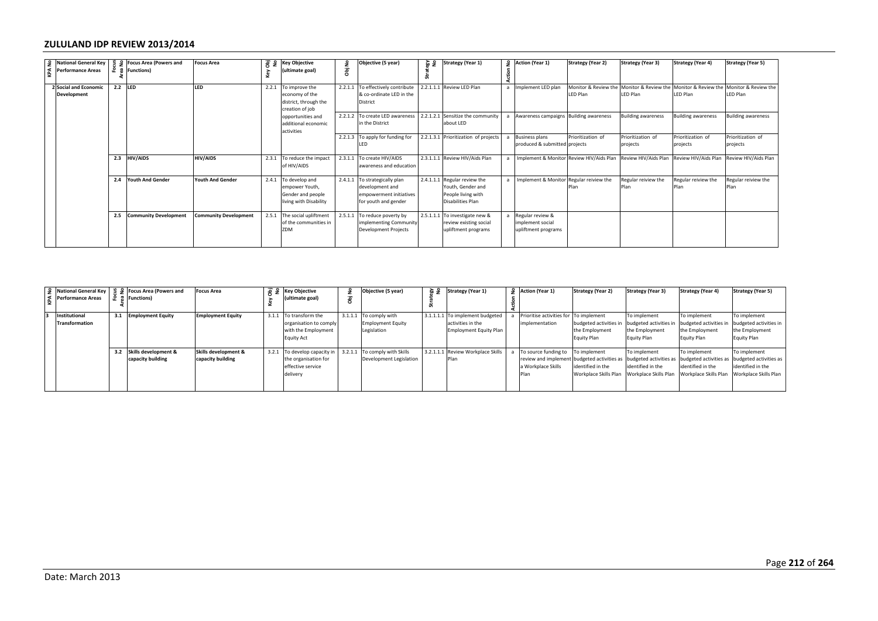|               | <b>National General Key</b>                      |                            | <b>Focus Area (Powers and</b>                      | <b>Focus Area</b>                         | $\frac{1}{6}$ $\frac{1}{2}$ | <b>Key Objective</b>                                                                  | å                       | Objective (5 year)                                                                                  | 음 돌               | Strategy (Year 1)                                                                            |                | 2 Action (Year 1)                                                        | <b>Strategy (Year 2)</b>                                                             | <b>Strategy (Year 3)</b>                                                           | <b>Strategy (Year 4)</b>                                                                        | <b>Strategy (Year 5)</b>                                                            |
|---------------|--------------------------------------------------|----------------------------|----------------------------------------------------|-------------------------------------------|-----------------------------|---------------------------------------------------------------------------------------|-------------------------|-----------------------------------------------------------------------------------------------------|-------------------|----------------------------------------------------------------------------------------------|----------------|--------------------------------------------------------------------------|--------------------------------------------------------------------------------------|------------------------------------------------------------------------------------|-------------------------------------------------------------------------------------------------|-------------------------------------------------------------------------------------|
| KPA No        | Performance Areas                                | Focus<br>ea No<br>rea<br>ā | <b>Functions)</b>                                  |                                           | Key                         | (ultimate goal)                                                                       | ā                       |                                                                                                     | Strat             |                                                                                              | Action         |                                                                          |                                                                                      |                                                                                    |                                                                                                 |                                                                                     |
|               | 2 Social and Economic<br>Development             | $2.2$ LED                  |                                                    | LED                                       | 2.2.1                       | To improve the<br>economy of the<br>district, through the<br>creation of job          |                         | 2.2.1.1 To effectively contribute<br>& co-ordinate LED in the<br>District                           |                   | 2.2.1.1.1 Review LED Plan                                                                    |                | a Implement LED plan                                                     | LED Plan                                                                             | LED Plan                                                                           | Monitor & Review the Monitor & Review the Monitor & Review the Monitor & Review the<br>LED Plan | LED Plan                                                                            |
|               |                                                  |                            |                                                    |                                           |                             | opportunities and<br>additional economic<br>activities                                |                         | 2.2.1.2 To create LED awareness<br>n the District                                                   |                   | 2.2.1.2.1 Sensitize the community<br>about LED                                               |                | a Awareness campaigns Building awareness                                 |                                                                                      | <b>Building awareness</b>                                                          | <b>Building awareness</b>                                                                       | <b>Building awareness</b>                                                           |
|               |                                                  |                            |                                                    |                                           |                             |                                                                                       |                         | 2.2.1.3 To apply for funding for<br>ED.                                                             |                   | 2.2.1.3.1 Prioritization of projects                                                         |                | a Business plans<br>produced & submitted                                 | Prioritization of<br>projects                                                        | Prioritization of<br>projects                                                      | Prioritization of<br>projects                                                                   | Prioritization of<br>projects                                                       |
|               |                                                  |                            | 2.3 HIV/AIDS                                       | HIV/AIDS                                  | 2.3.1                       | To reduce the impact<br>of HIV/AIDS                                                   |                         | 2.3.1.1 To create HIV/AIDS<br>awareness and education                                               |                   | 2.3.1.1.1 Review HIV/Aids Plan                                                               | $\overline{a}$ | Implement & Monitor Review HIV/Aids Plan                                 |                                                                                      | Review HIV/Aids Plan                                                               | Review HIV/Aids Plan                                                                            | Review HIV/Aids Plan                                                                |
|               |                                                  |                            | 2.4 Youth And Gender                               | Youth And Gender                          |                             | 2.4.1 To develop and<br>empower Youth,<br>Gender and people<br>living with Disability |                         | 2.4.1.1 To strategically plan<br>development and<br>empowerment initiatives<br>for youth and gender |                   | 2.4.1.1.1 Regular review the<br>Youth, Gender and<br>People living with<br>Disabilities Plan | $\overline{a}$ | Implement & Monitor Regular reiview the                                  | Plan                                                                                 | Regular reiview the<br>Plan                                                        | Regular reiview the<br>Plan                                                                     | Regular reiview the<br>Plan                                                         |
|               |                                                  |                            | 2.5 Community Development                          | <b>Community Development</b>              |                             | 2.5.1 The social upliftment<br>of the communities in<br>ZDM                           |                         | 2.5.1.1 To reduce poverty by<br>implementing Community<br>Development Projects                      | 2.5.1.1.1         | To investigate new &<br>review existing social<br>upliftment programs                        | a              | Regular review &<br>mplement social<br>upliftment programs               |                                                                                      |                                                                                    |                                                                                                 |                                                                                     |
|               |                                                  |                            |                                                    |                                           |                             |                                                                                       |                         |                                                                                                     |                   |                                                                                              |                |                                                                          |                                                                                      |                                                                                    |                                                                                                 |                                                                                     |
| <b>KPA No</b> | <b>National General Key</b><br>Performance Areas | Focus<br>aa No<br>æ,       | <b>Focus Area (Powers and</b><br><b>Functions)</b> | <b>Focus Area</b>                         | Key Obj<br>No               | <b>Key Objective</b><br>ultimate goal)                                                | å<br>$\overline{\bf g}$ | Objective (5 year)                                                                                  | on<br>Kâa<br>Stra | <b>Strategy (Year 1)</b>                                                                     | å<br>Action    | Action (Year 1)                                                          | <b>Strategy (Year 2)</b>                                                             | <b>Strategy (Year 3)</b>                                                           | <b>Strategy (Year 4)</b>                                                                        | <b>Strategy (Year 5)</b>                                                            |
|               | Institutional<br><b>Transformation</b>           |                            | 3.1 Employment Equity                              | <b>Employment Equity</b>                  | 3.1.1                       | To transform the<br>organisation to comply<br>with the Employment<br>Equity Act       | 3.1.1.1                 | To comply with<br><b>Employment Equity</b><br>egislation                                            |                   | 3.1.1.1.1 To implement budgeted<br>activities in the<br><b>Employment Equity Plan</b>        | $\overline{a}$ | Prioritise activities for To implement<br>mplementation                  | udgeted activities in<br>the Employment<br><b>Equity Plan</b>                        | To implement<br>budgeted activities in<br>the Employment<br><b>Equity Plan</b>     | To implement<br>budgeted activities in<br>the Employment<br><b>Equity Plan</b>                  | To implement<br>budgeted activities i<br>the Employment<br>Equity Plan              |
|               |                                                  |                            | 3.2 Skills development &<br>capacity building      | Skills development &<br>capacity building | 3.2.1                       | To develop capacity in<br>the organisation for<br>effective service<br>delivery       | 3.2.1.1                 | To comply with Skills<br>Development Legislation                                                    |                   | 3.2.1.1.1 Review Workplace Skills<br>Plan                                                    | a              | To source funding to<br>eview and implemen<br>a Workplace Skills<br>Plan | To implement<br>budgeted activities as<br>identified in the<br>Workplace Skills Plan | o implement<br>budgeted activities as<br>dentified in the<br>Workplace Skills Plan | To implement<br>budgeted activities as<br>identified in the<br>Workplace Skills Plan            | To implement<br>budgeted activities a<br>identified in the<br>Workplace Skills Plar |
|               |                                                  |                            |                                                    |                                           |                             |                                                                                       |                         |                                                                                                     |                   |                                                                                              |                |                                                                          |                                                                                      |                                                                                    |                                                                                                 |                                                                                     |
|               |                                                  |                            |                                                    |                                           |                             |                                                                                       |                         |                                                                                                     |                   |                                                                                              |                |                                                                          |                                                                                      |                                                                                    |                                                                                                 | Pag                                                                                 |
|               | Date: March 2013                                 |                            |                                                    |                                           |                             |                                                                                       |                         |                                                                                                     |                   |                                                                                              |                |                                                                          |                                                                                      |                                                                                    |                                                                                                 |                                                                                     |

| 9 National General Key   |     | Ⅰ 当 9 Focus Area (Powers and | <b>Focus Area</b>        | $\overline{a}$ $\overline{b}$ $\overline{c}$ Key Objective | Objective (5 year)       | 을 몇 | <b>Strategy (Year 1)</b>          | 9 Action (Year 1)                      | <b>Strategy (Year 2)</b>                      | <b>Strategy (Year 3)</b> | <b>Strategy (Year 4)</b>                                                                                         | <b>Strategy (Year 5)</b> |
|--------------------------|-----|------------------------------|--------------------------|------------------------------------------------------------|--------------------------|-----|-----------------------------------|----------------------------------------|-----------------------------------------------|--------------------------|------------------------------------------------------------------------------------------------------------------|--------------------------|
| <b>Performance Areas</b> |     | <sup>景</sup> Functions)      |                          | ultimate goal)                                             |                          |     |                                   |                                        |                                               |                          |                                                                                                                  |                          |
|                          |     |                              |                          |                                                            |                          |     |                                   |                                        |                                               |                          |                                                                                                                  |                          |
| Institutional            |     | <b>Employment Equity</b>     | <b>Employment Equity</b> | 3.1.1 To transform the                                     | 3.1.1.1 To comply with   |     | 3.1.1.1.1 To implement budgeted   | Prioritise activities for To implement |                                               | To implement             | To implement                                                                                                     | To implement             |
| Transformation           |     |                              |                          | organisation to comply                                     | <b>Employment Equity</b> |     | activities in the                 | implementation                         | budgeted activities in budgeted activities in |                          | budgeted activities in                                                                                           | budgeted activities in   |
|                          |     |                              |                          | with the Employment                                        | Legislation              |     | <b>Employment Equity Plan</b>     |                                        | the Employment                                | the Employment           | the Employment                                                                                                   | the Employment           |
|                          |     |                              |                          | <b>Equity Act</b>                                          |                          |     |                                   |                                        | Equity Plan                                   | Equity Plan              | Equity Plan                                                                                                      | <b>Equity Plan</b>       |
|                          |     |                              |                          |                                                            |                          |     |                                   |                                        |                                               |                          |                                                                                                                  |                          |
|                          | 3.2 | Skills development &         | Skills development &     | 3.2.1 To develop capacity in 3.2.1.1 To comply with Skills |                          |     | 3.2.1.1.1 Review Workplace Skills | To source funding to To implement      |                                               | To implement             | To implement                                                                                                     | To implement             |
|                          |     | capacity building            | capacity building        | the organisation for                                       | Development Legislation  |     | Plan                              |                                        |                                               |                          | review and implement budgeted activities as budgeted activities as budgeted activities as budgeted activities as |                          |
|                          |     |                              |                          | effective service                                          |                          |     |                                   | la Workplace Skills                    | identified in the                             | identified in the        | identified in the                                                                                                | identified in the        |
|                          |     |                              |                          | delivery                                                   |                          |     |                                   | Plan                                   |                                               |                          | Workplace Skills Plan Workplace Skills Plan Workplace Skills Plan Workplace Skills Plan                          |                          |
|                          |     |                              |                          |                                                            |                          |     |                                   |                                        |                                               |                          |                                                                                                                  |                          |
|                          |     |                              |                          |                                                            |                          |     |                                   |                                        |                                               |                          |                                                                                                                  |                          |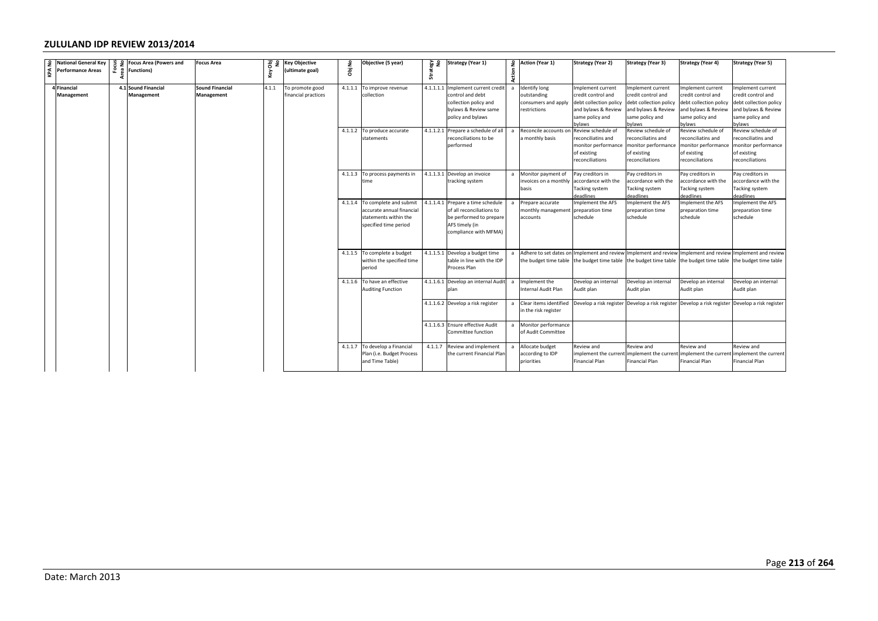|                                                         |      |                                   | <b>Focus Area</b>                    | es<br>S | <b>Key Objective</b>                   |        | Objective (5 year)                                                                                            | 일 원       | <b>Strategy (Year 1)</b>                                                                                                                                  |                     | 2 Action (Year 1)                                                                                 | <b>Strategy (Year 2)</b>                                                                                                                  | <b>Strategy (Year 3)</b>                                                                                                                    | <b>Strategy (Year 4)</b>                                                                                                                    | Strategy (Year 5)                                                                                                                          |
|---------------------------------------------------------|------|-----------------------------------|--------------------------------------|---------|----------------------------------------|--------|---------------------------------------------------------------------------------------------------------------|-----------|-----------------------------------------------------------------------------------------------------------------------------------------------------------|---------------------|---------------------------------------------------------------------------------------------------|-------------------------------------------------------------------------------------------------------------------------------------------|---------------------------------------------------------------------------------------------------------------------------------------------|---------------------------------------------------------------------------------------------------------------------------------------------|--------------------------------------------------------------------------------------------------------------------------------------------|
| $\frac{9}{5}$ National General Key<br>Performance Areas | Area |                                   |                                      | Key     | (ultimate goal)                        | Obj No |                                                                                                               | Strat     |                                                                                                                                                           | Action              |                                                                                                   |                                                                                                                                           |                                                                                                                                             |                                                                                                                                             |                                                                                                                                            |
| Financial<br>Management                                 |      | 4.1 Sound Financial<br>Management | <b>Sound Financial</b><br>Management | 4.1.1   | To promote good<br>financial practices |        | 4.1.1.1 To improve revenue<br>collection<br>4.1.1.2 To produce accurate                                       | 4.1.1.1.1 | Implement current credit<br>control and debt<br>collection policy and<br>bylaws & Review same<br>policy and bylaws<br>4.1.1.2.1 Prepare a schedule of all | a<br>$\overline{a}$ | <b>Identify long</b><br>outstanding<br>onsumers and apply<br>estrictions<br>Reconcile accounts on | Implement current<br>redit control and<br>debt collection policy<br>and bylaws & Review<br>same policy and<br>vlaws<br>Review schedule of | Implement current<br>credit control and<br>debt collection policy<br>and bylaws & Review<br>same policy and<br>oylaws<br>Review schedule of | Implement current<br>credit control and<br>debt collection policy<br>and bylaws & Review<br>same policy and<br>bylaws<br>Review schedule of | Implement current<br>credit control and<br>debt collection policy<br>and bylaws & Review<br>same policy and<br>vlaws<br>Review schedule of |
|                                                         |      |                                   |                                      |         |                                        |        | statements                                                                                                    |           | reconciliations to be<br>performed                                                                                                                        |                     | a monthly basis                                                                                   | reconciliatins and<br>monitor performance<br>of existing<br>reconciliations                                                               | reconciliatins and<br>monitor performance<br>of existing<br>reconciliations                                                                 | reconciliatins and<br>monitor performance<br>of existing<br>reconciliations                                                                 | reconciliatins and<br>nonitor performance<br>of existing<br>reconciliations                                                                |
|                                                         |      |                                   |                                      |         |                                        |        | 4.1.1.3 To process payments in<br>time                                                                        | 4.1.1.3.1 | Develop an invoice<br>tracking system                                                                                                                     | $\mathsf{a}$        | Monitor payment of<br>nvoices on a monthly<br>basis                                               | Pay creditors in<br>accordance with the<br><b>Tacking system</b><br>deadlines                                                             | Pay creditors in<br>accordance with the<br>Tacking system<br>deadlines                                                                      | Pay creditors in<br>accordance with the<br>Tacking system<br>deadlines                                                                      | Pay creditors in<br>accordance with the<br>Tacking system<br>leadlines                                                                     |
|                                                         |      |                                   |                                      |         |                                        |        | 4.1.1.4 To complete and submit<br>accurate annual financial<br>statements within the<br>specified time period | 4.1.1.4.1 | Prepare a time schedule<br>of all reconciliations to<br>be performed to prepare<br>AFS timely (in<br>compliance with MFMA)                                |                     | Prepare accurate<br>monthly management<br>accounts                                                | mplement the AFS<br>preparation time<br>schedule                                                                                          | Implement the AFS<br>preparation time<br>schedule                                                                                           | Implement the AFS<br>preparation time<br>schedule                                                                                           | mplement the AFS<br>preparation time<br>schedule                                                                                           |
|                                                         |      |                                   |                                      |         |                                        |        | 4.1.1.5 To complete a budget<br>within the specified time<br>period                                           |           | 4.1.1.5.1 Develop a budget time<br>table in line with the IDP<br>Process Plan                                                                             |                     | he budget time table                                                                              | he budget time table                                                                                                                      |                                                                                                                                             | a Adhere to set dates on Implement and review Implement and review Implement and review<br>the budget time table the budget time table      | Implement and review<br>he budget time table                                                                                               |
|                                                         |      |                                   |                                      |         |                                        |        | 4.1.1.6 To have an effective<br><b>Auditing Function</b>                                                      |           | 4.1.1.6.1 Develop an internal Audit<br>nlan                                                                                                               | a                   | Implement the<br>Internal Audit Plan                                                              | Develop an internal<br>Audit plan                                                                                                         | Develop an internal<br>Audit plan                                                                                                           | Develop an internal<br>Audit plan                                                                                                           | Develop an internal<br>Audit plan                                                                                                          |
|                                                         |      |                                   |                                      |         |                                        |        |                                                                                                               |           | 4.1.1.6.2 Develop a risk register                                                                                                                         | $\mathsf{a}$        | Clear items identified<br>in the risk register                                                    |                                                                                                                                           |                                                                                                                                             | Develop a risk register Develop a risk register Develop a risk register                                                                     | Develop a risk register                                                                                                                    |
|                                                         |      |                                   |                                      |         |                                        |        |                                                                                                               | 4.1.1.6.3 | Ensure effective Audit<br>Committee function                                                                                                              |                     | Monitor performance<br>of Audit Committee                                                         |                                                                                                                                           |                                                                                                                                             |                                                                                                                                             |                                                                                                                                            |
|                                                         |      |                                   |                                      |         |                                        |        | 4.1.1.7 To develop a Financial<br>Plan (i.e. Budget Process<br>and Time Table)                                | 4.1.1.7   | Review and implement<br>the current Financial Plan                                                                                                        | $\overline{a}$      | Allocate budget<br>according to IDP<br>priorities                                                 | Review and<br>implement the current<br>Financial Plan                                                                                     | Review and<br>implement the current<br>Financial Plan                                                                                       | Review and<br>implement the current<br>Financial Plan                                                                                       | Review and<br>implement the current<br>Financial Plan                                                                                      |
|                                                         |      |                                   |                                      |         |                                        |        |                                                                                                               |           |                                                                                                                                                           |                     |                                                                                                   |                                                                                                                                           |                                                                                                                                             |                                                                                                                                             |                                                                                                                                            |
|                                                         |      |                                   |                                      |         |                                        |        |                                                                                                               |           |                                                                                                                                                           |                     |                                                                                                   |                                                                                                                                           |                                                                                                                                             |                                                                                                                                             |                                                                                                                                            |
|                                                         |      |                                   |                                      |         |                                        |        |                                                                                                               |           |                                                                                                                                                           |                     |                                                                                                   |                                                                                                                                           |                                                                                                                                             |                                                                                                                                             | Page                                                                                                                                       |
| Date: March 2013                                        |      |                                   |                                      |         |                                        |        |                                                                                                               |           |                                                                                                                                                           |                     |                                                                                                   |                                                                                                                                           |                                                                                                                                             |                                                                                                                                             |                                                                                                                                            |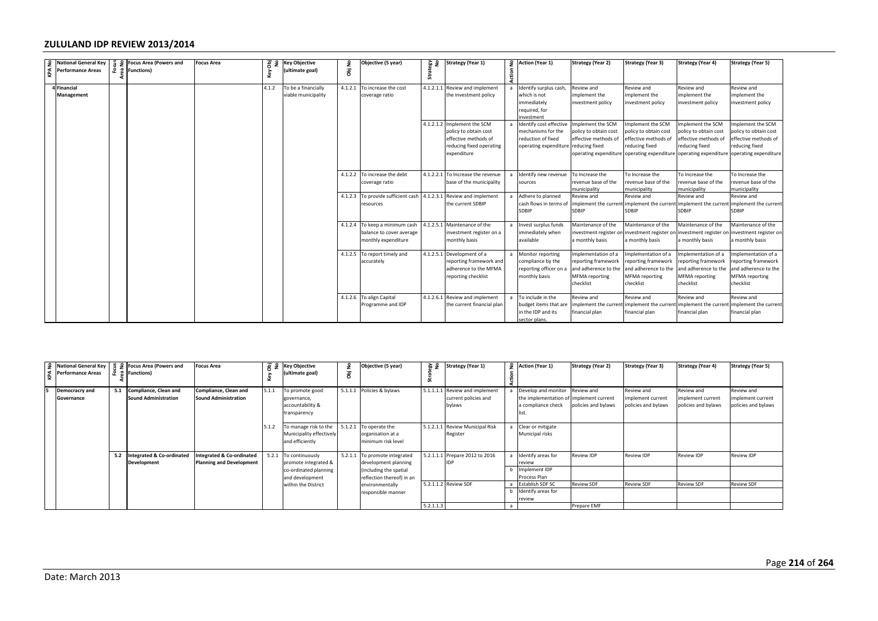|     | $\begin{tabular}{ c c } \hline $\circ$ & National General Key \\ $\leq$ & Performance Areas \\ $\simeq$ & \end{tabular}$ |          | $\frac{3}{2}$ $\frac{2}{8}$ Focus Area (Powers and<br>$\frac{3}{8}$ $\frac{2}{8}$ Functions) | <b>Focus Area</b>                                                       | a<br>Pa         | <b>Key Objective</b>                                                   | opi No | Objective (5 year)                                                                   | os<br>Vãa              | <b>Strategy (Year 1)</b>                                                                                     |                |                                                                                                             | <b>Strategy (Year 2)</b>                                                                        | <b>Strategy (Year 3)</b>                                                                          | <b>Strategy (Year 4)</b>                                                                                                           | <b>Strategy (Year 5)</b>                                                                                     |
|-----|--------------------------------------------------------------------------------------------------------------------------|----------|----------------------------------------------------------------------------------------------|-------------------------------------------------------------------------|-----------------|------------------------------------------------------------------------|--------|--------------------------------------------------------------------------------------|------------------------|--------------------------------------------------------------------------------------------------------------|----------------|-------------------------------------------------------------------------------------------------------------|-------------------------------------------------------------------------------------------------|---------------------------------------------------------------------------------------------------|------------------------------------------------------------------------------------------------------------------------------------|--------------------------------------------------------------------------------------------------------------|
|     |                                                                                                                          | ea       |                                                                                              |                                                                         | ζēγ             | (ultimate goal)                                                        |        |                                                                                      | Strat                  |                                                                                                              |                | $\frac{2}{\frac{5}{2}}$ Action (Year 1)                                                                     |                                                                                                 |                                                                                                   |                                                                                                                                    |                                                                                                              |
|     | 4 Financial<br>Management                                                                                                |          |                                                                                              |                                                                         | 4.1.2           | To be a financially<br>viable municipality                             |        | 4.1.2.1 To increase the cost<br>coverage ratio                                       | 4.1.2.1.1              | Review and implement<br>the investment policy                                                                | $\overline{a}$ | Identify surplus cash,<br>which is not<br>mmediately<br>required, for<br><b>nvestment</b>                   | Review and<br>implement the<br>investment policy                                                | Review and<br>mplement the<br>investment policy                                                   | Review and<br>mplement the<br>investment policy                                                                                    | Review and<br>mplement the<br>nvestment policy                                                               |
|     |                                                                                                                          |          |                                                                                              |                                                                         |                 |                                                                        |        |                                                                                      | 4.1.2.1.2              | Implement the SCM<br>policy to obtain cost<br>effective methods of<br>educing fixed operating<br>expenditure | $\overline{a}$ | Identify cost effective<br>nechanisms for the<br>reduction of fixed<br>operating expenditure reducing fixed | Implement the SCM<br>policy to obtain cost<br>effective methods of<br>operating expenditure     | mplement the SCM<br>policy to obtain cost<br>effective methods of<br>reducing fixed               | mplement the SCM<br>policy to obtain cost<br>effective methods of<br>reducing fixed<br>operating expenditure operating expenditure | mplement the SCM<br>oolicy to obtain cost<br>effective methods of<br>reducing fixed<br>operating expenditure |
|     |                                                                                                                          |          |                                                                                              |                                                                         |                 |                                                                        |        | 4.1.2.2 To increase the debt<br>coverage ratio<br>4.1.2.3 To provide sufficient cash | 4.1.2.2.1<br>4.1.2.3.1 | To Increase the revenue<br>base of the municipality<br>Review and implement                                  | a              | Identify new revenue<br>sources<br>Adhere to planned                                                        | To Increase the<br>revenue base of the<br>nunicipality<br>Review and                            | To Increase the<br>revenue base of the<br>municipality<br>Review and                              | To Increase the<br>revenue base of the<br>nunicipality<br>Review and                                                               | To Increase the<br>revenue base of the<br>nunicipality<br>Review and                                         |
|     |                                                                                                                          |          |                                                                                              |                                                                         |                 |                                                                        |        | esources                                                                             |                        | he current SDBIP                                                                                             |                | cash flows in terms of<br>SDBIP                                                                             | mplement the curren<br>SDBIP                                                                    | implement the curren<br>SDBIP                                                                     | implement the curren<br>SDBIP                                                                                                      | mplement the current<br><b>DBIP</b>                                                                          |
|     |                                                                                                                          |          |                                                                                              |                                                                         |                 |                                                                        |        | 4.1.2.4 To keep a minimum cash<br>balance to cover average<br>monthly expenditure    | 4.1.2.5.1              | Maintenance of the<br>investment register on a<br>monthly basis                                              | $\mathsf{a}$   | Invest surplus funds<br>nmediately when<br><b>vailable</b>                                                  | Maintenance of the<br>nvestment register or<br>a monthly basis                                  | Maintenance of the<br>investment register on<br>a monthly basis                                   | Maintenance of the<br>investment register on<br>monthly basis                                                                      | Maintenance of the<br>nvestment register on<br>monthly basis                                                 |
|     |                                                                                                                          |          |                                                                                              |                                                                         |                 |                                                                        |        | 4.1.2.5 To report timely and<br>accurately                                           | 4.1.2.5.1              | Development of a<br>reporting framework and<br>adherence to the MFMA<br>reporting checklist                  |                | Monitor reporting<br>compliance by the<br>eporting officer on a<br>nonthly basis                            | mplementation of a<br>eporting framework<br>and adherence to the<br>MFMA reporting<br>checklist | Implementation of a<br>reporting framework<br>and adherence to the<br>MFMA reporting<br>checklist | mplementation of a<br>eporting framework<br>and adherence to the<br><b>MFMA</b> reporting<br>checklist                             | mplementation of a<br>eporting framework<br>and adherence to the<br><b>MFMA</b> reporting<br>checklist       |
|     |                                                                                                                          |          |                                                                                              |                                                                         |                 |                                                                        |        | 4.1.2.6 To align Capital<br>Programme and IDP                                        | 4.1.2.6.1              | Review and implement<br>the current financial plan                                                           |                | To include in the<br>oudget items that are<br>n the IDP and its<br>ector plans.                             | Review and<br>mplement the curren<br>financial plan                                             | Review and<br>financial plan                                                                      | Review and<br>implement the current implement the curren<br>financial plan                                                         | Review and<br>nplement the current<br>inancial plan                                                          |
|     |                                                                                                                          |          |                                                                                              |                                                                         |                 |                                                                        |        |                                                                                      |                        |                                                                                                              |                |                                                                                                             |                                                                                                 |                                                                                                   |                                                                                                                                    |                                                                                                              |
| KPA | <b>National General Kev</b><br><b>Performance Areas</b>                                                                  | ု ဦး စွု | 월 운 Focus Area (Powers and<br><b>Functions)</b>                                              | <b>Focus Area</b>                                                       | Obj<br>No<br>ζê | <b>Key Objective</b><br>(ultimate goal)                                | Obj No | Objective (5 year)                                                                   | egy<br>No<br>Strat     | <b>Strategy (Year 1)</b>                                                                                     | £<br>Action    | <b>Action (Year 1)</b>                                                                                      | <b>Strategy (Year 2)</b>                                                                        | <b>Strategy (Year 3)</b>                                                                          | <b>Strategy (Year 4)</b>                                                                                                           | <b>Strategy (Year 5)</b>                                                                                     |
|     | Democracry and<br>Governance                                                                                             | 5.1      | Compliance, Clean and<br><b>Sound Administration</b>                                         | Compliance, Clean and<br><b>Sound Administration</b>                    | 5.1.1           | To promote good<br>governance,<br>accountability &<br>transparency     |        | 5.1.1.1 Policies & bylaws                                                            | 5.1.1.1.1              | Review and implement<br>current policies and<br>bylaws                                                       | $\overline{a}$ | Develop and monitor<br>the implementation of<br>a compliance check<br>list.                                 | Review and<br>implement current<br>policies and bylaws                                          | Review and<br>implement current<br>policies and bylaws                                            | Review and<br>mplement current<br>policies and bylaws                                                                              | Review and<br>mplement current<br>policies and bylaws                                                        |
|     |                                                                                                                          |          |                                                                                              |                                                                         | 5.1.2           | To manage risk to the<br>Municipality effectively<br>and efficiently   |        | 5.1.2.1 To operate the<br>organisation at a<br>minimum risk level                    | 5.1.2.1.1              | <b>Review Municipal Risk</b><br>Register                                                                     | a              | Clear or mitigate<br>Municipal risks                                                                        |                                                                                                 |                                                                                                   |                                                                                                                                    |                                                                                                              |
|     |                                                                                                                          | 5.2      | Integrated & Co-ordinated<br>Development                                                     | <b>Integrated &amp; Co-ordinated</b><br><b>Planning and Development</b> |                 | 5.2.1 To continuously<br>promote integrated &<br>co-ordinated planning |        | 5.2.1.1 To promote integrated<br>development planning<br>including the spatial       | 5.2.1.1.1              | Prepare 2012 to 2016<br>DP                                                                                   | a<br>b         | Identify areas for<br>eview<br>Implement IDP                                                                | <b>Review IDP</b>                                                                               | Review IDP                                                                                        | Review IDP                                                                                                                         | Review IDP                                                                                                   |
|     |                                                                                                                          |          |                                                                                              |                                                                         |                 | and development<br>within the District                                 |        | reflection thereof) in an<br>environmentally<br>esponsible manner                    |                        | 5.2.1.1.2 Review SDF                                                                                         | b              | rocess Plan<br>Establish SDF SC<br>Identify areas for<br>eview                                              | <b>Review SDF</b>                                                                               | <b>Review SDF</b>                                                                                 | <b>Review SDF</b>                                                                                                                  | <b>Review SDF</b>                                                                                            |
|     |                                                                                                                          |          |                                                                                              |                                                                         |                 |                                                                        |        |                                                                                      | 5.2.1.1.3              |                                                                                                              | $\overline{a}$ |                                                                                                             | Prepare EMF                                                                                     |                                                                                                   |                                                                                                                                    |                                                                                                              |
|     |                                                                                                                          |          |                                                                                              |                                                                         |                 |                                                                        |        |                                                                                      |                        |                                                                                                              |                |                                                                                                             |                                                                                                 |                                                                                                   |                                                                                                                                    |                                                                                                              |
|     |                                                                                                                          |          |                                                                                              |                                                                         |                 |                                                                        |        |                                                                                      |                        |                                                                                                              |                |                                                                                                             |                                                                                                 |                                                                                                   |                                                                                                                                    | Page                                                                                                         |
|     | Date: March 2013                                                                                                         |          |                                                                                              |                                                                         |                 |                                                                        |        |                                                                                      |                        |                                                                                                              |                |                                                                                                             |                                                                                                 |                                                                                                   |                                                                                                                                    |                                                                                                              |

| 9 National General Key<br>$\begin{bmatrix} 4 \\ 2 \\ 4 \end{bmatrix}$ Performance Areas | ۾ ۾ | 을 9 Focus Area (Powers and<br><b>Functions</b> )     | <b>Focus Area</b>                                           | - ਤੋਂ ਵ | <b>Key Objective</b><br>ultimate goal)                                              | ę<br>ā | Objective (5 year)                                                                                           | ଢ ≴<br>ũ. | <b>Strategy (Year 1)</b>                               |   | 9 Action (Year 1)                                                                             | <b>Strategy (Year 2)</b>          | <b>Strategy (Year 3)</b>                               | <b>Strategy (Year 4)</b>                               | <b>Strategy (Year 5)</b>                               |
|-----------------------------------------------------------------------------------------|-----|------------------------------------------------------|-------------------------------------------------------------|---------|-------------------------------------------------------------------------------------|--------|--------------------------------------------------------------------------------------------------------------|-----------|--------------------------------------------------------|---|-----------------------------------------------------------------------------------------------|-----------------------------------|--------------------------------------------------------|--------------------------------------------------------|--------------------------------------------------------|
| Democracry and<br>Governance                                                            | 5.1 | Compliance, Clean and<br><b>Sound Administration</b> | Compliance, Clean and<br><b>Sound Administration</b>        |         | To promote good<br>governance,<br>accountability &<br>transparency                  |        | 5.1.1.1 Policies & bylaws                                                                                    | 5.1.1.1.1 | Review and implement<br>current policies and<br>bylaws |   | Develop and monitor<br>the implementation of implement current<br>a compliance check<br>list. | Review and<br>policies and bylaws | Review and<br>implement current<br>policies and bylaws | Review and<br>implement current<br>policies and bylaws | Review and<br>implement current<br>policies and bylaws |
|                                                                                         |     |                                                      |                                                             |         | To manage risk to the<br>Municipality effectively<br>and efficiently                |        | 5.1.2.1 To operate the<br>organisation at a<br>minimum risk level                                            |           | 5.1.2.1.1 Review Municipal Risk<br>Register            |   | a Clear or mitigate<br>Municipal risks                                                        |                                   |                                                        |                                                        |                                                        |
|                                                                                         | 5.2 | Integrated & Co-ordinated<br>Development             | ntegrated & Co-ordinated<br><b>Planning and Development</b> | 5.2.1   | To continuously<br>promote integrated &<br>co-ordinated planning<br>and development |        | 5.2.1.1 To promote integrated<br>development planning<br>(including the spatial<br>reflection thereof) in an |           | 5.2.1.1.1 Prepare 2012 to 2016                         |   | a Identify areas for<br>review<br>Implement IDP<br>Process Plan                               | <b>Review IDP</b>                 | Review IDP                                             | Review IDP                                             | <b>Review IDP</b>                                      |
|                                                                                         |     |                                                      |                                                             |         | within the District                                                                 |        | environmentally<br>responsible manner                                                                        | 5.2.1.1.3 | 5.2.1.1.2 Review SDF                                   | a | a Establish SDF SC<br>b Identify areas for<br>review                                          | <b>Review SDF</b><br>Prepare EMF  | <b>Review SDF</b>                                      | <b>Review SDF</b>                                      | <b>Review SDF</b>                                      |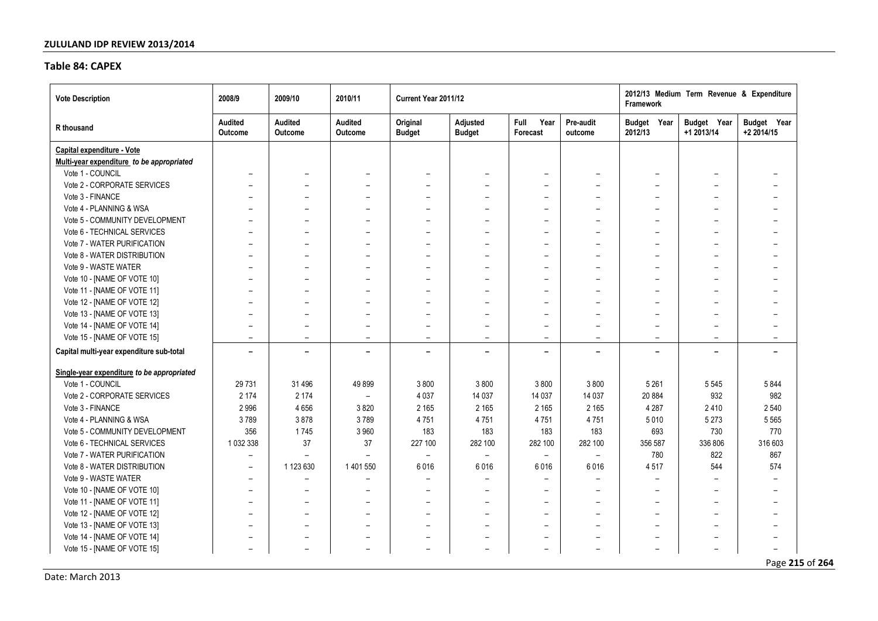### **Table 84: CAPEX**

| <b>Vote Description</b>                    | 2008/9                    | 2009/10                  | 2010/11                   | Current Year 2011/12      |                                  |                                 |                          | Framework                | 2012/13 Medium Term Revenue & Expenditure |                           |
|--------------------------------------------|---------------------------|--------------------------|---------------------------|---------------------------|----------------------------------|---------------------------------|--------------------------|--------------------------|-------------------------------------------|---------------------------|
| R thousand                                 | <b>Audited</b><br>Outcome | Audited<br>Outcome       | Audited<br><b>Outcome</b> | Original<br><b>Budget</b> | <b>Adjusted</b><br><b>Budget</b> | Year<br><b>Full</b><br>Forecast | Pre-audit<br>outcome     | Budget Year<br>2012/13   | Budget Year<br>+1 2013/14                 | Budget Year<br>+2 2014/15 |
| Capital expenditure - Vote                 |                           |                          |                           |                           |                                  |                                 |                          |                          |                                           |                           |
| Multi-year expenditure to be appropriated  |                           |                          |                           |                           |                                  |                                 |                          |                          |                                           |                           |
| Vote 1 - COUNCIL                           | $\overline{\phantom{a}}$  | $\overline{\phantom{0}}$ |                           | $\overline{\phantom{0}}$  | $\overline{\phantom{a}}$         | $\overline{\phantom{0}}$        | $\overline{\phantom{0}}$ |                          | $\overline{\phantom{0}}$                  | $\overline{\phantom{a}}$  |
| Vote 2 - CORPORATE SERVICES                |                           |                          |                           | $\qquad \qquad$           |                                  |                                 | $\overline{\phantom{0}}$ |                          | $\overline{\phantom{0}}$                  | $\overline{\phantom{0}}$  |
| Vote 3 - FINANCE                           |                           |                          |                           | $\overline{\phantom{0}}$  | $\overline{\phantom{a}}$         | $\overline{\phantom{0}}$        |                          |                          | $\overline{\phantom{0}}$                  | $\overline{\phantom{0}}$  |
| Vote 4 - PLANNING & WSA                    |                           |                          |                           |                           |                                  | $\overline{\phantom{0}}$        |                          |                          |                                           |                           |
| Vote 5 - COMMUNITY DEVELOPMENT             |                           |                          |                           |                           |                                  |                                 |                          |                          |                                           | $\overline{\phantom{m}}$  |
| Vote 6 - TECHNICAL SERVICES                |                           |                          |                           | $\overline{\phantom{0}}$  | $\overline{\phantom{0}}$         |                                 | $\overline{\phantom{0}}$ |                          | $\overline{\phantom{0}}$                  | $\overline{\phantom{0}}$  |
| Vote 7 - WATER PURIFICATION                |                           |                          |                           | $\overline{\phantom{0}}$  | $\overline{\phantom{0}}$         | $\overline{\phantom{0}}$        | $\overline{\phantom{0}}$ | $\overline{\phantom{0}}$ | $\overline{\phantom{0}}$                  | $\overline{\phantom{0}}$  |
| Vote 8 - WATER DISTRIBUTION                | $\overline{\phantom{0}}$  |                          |                           | $\overline{\phantom{0}}$  | $\overline{\phantom{0}}$         | $\overline{\phantom{0}}$        | $\overline{\phantom{0}}$ | $\overline{\phantom{0}}$ | $\overline{a}$                            | $\overline{\phantom{0}}$  |
| Vote 9 - WASTE WATER                       |                           |                          |                           | $\overline{\phantom{0}}$  | $\overline{\phantom{0}}$         | $\qquad \qquad -$               | $\overline{\phantom{0}}$ |                          | $\overline{\phantom{0}}$                  | $\qquad \qquad$           |
| Vote 10 - [NAME OF VOTE 10]                |                           |                          |                           |                           | $\overline{\phantom{0}}$         | $\overline{\phantom{0}}$        |                          |                          | $\overline{\phantom{0}}$                  |                           |
| Vote 11 - [NAME OF VOTE 11]                |                           |                          |                           |                           | $\overline{\phantom{0}}$         |                                 | $\overline{\phantom{0}}$ |                          | $\overline{\phantom{0}}$                  | $\overline{\phantom{0}}$  |
| Vote 12 - [NAME OF VOTE 12]                |                           |                          |                           |                           |                                  | $\overline{\phantom{0}}$        |                          |                          |                                           |                           |
| Vote 13 - [NAME OF VOTE 13]                |                           |                          |                           | $\overline{\phantom{0}}$  |                                  |                                 |                          |                          | $\overline{\phantom{0}}$                  | $\overline{\phantom{0}}$  |
| Vote 14 - [NAME OF VOTE 14]                | $\overline{\phantom{0}}$  | $\overline{\phantom{0}}$ | $\overline{\phantom{0}}$  | $\overline{\phantom{0}}$  | $\overline{\phantom{0}}$         | $\overline{\phantom{0}}$        | $\overline{\phantom{a}}$ |                          | $\overline{\phantom{0}}$                  | $\overline{\phantom{0}}$  |
| Vote 15 - [NAME OF VOTE 15]                | $\overline{\phantom{0}}$  | $\overline{\phantom{0}}$ | $\overline{\phantom{0}}$  | $\overline{\phantom{0}}$  | $\overline{\phantom{0}}$         | $\overline{\phantom{0}}$        | $\overline{\phantom{0}}$ | $\overline{\phantom{0}}$ | $\overline{\phantom{0}}$                  | $\overline{\phantom{0}}$  |
| Capital multi-year expenditure sub-total   |                           | ۰                        | $\blacksquare$            | $\overline{\phantom{0}}$  | ۰                                | $\overline{\phantom{0}}$        | -                        |                          | $\overline{\phantom{0}}$                  | $\overline{\phantom{0}}$  |
| Single-year expenditure to be appropriated |                           |                          |                           |                           |                                  |                                 |                          |                          |                                           |                           |
| Vote 1 - COUNCIL                           | 29 7 31                   | 31 4 96                  | 49899                     | 3800                      | 3800                             | 3800                            | 3800                     | 5 2 6 1                  | 5 5 4 5                                   | 5844                      |
| Vote 2 - CORPORATE SERVICES                | 2 1 7 4                   | 2 1 7 4                  |                           | 4 0 3 7                   | 14 037                           | 14 0 37                         | 14 0 37                  | 20 884                   | 932                                       | 982                       |
| Vote 3 - FINANCE                           | 2996                      | 4656                     | 3820                      | 2 1 6 5                   | 2 1 6 5                          | 2 1 6 5                         | 2 1 6 5                  | 4 2 8 7                  | 2410                                      | 2 5 4 0                   |
| Vote 4 - PLANNING & WSA                    | 3789                      | 3878                     | 3789                      | 4751                      | 4751                             | 4751                            | 4751                     | 5010                     | 5 2 7 3                                   | 5 5 6 5                   |
| Vote 5 - COMMUNITY DEVELOPMENT             | 356                       | 1745                     | 3 9 6 0                   | 183                       | 183                              | 183                             | 183                      | 693                      | 730                                       | 770                       |
| Vote 6 - TECHNICAL SERVICES                | 1032338                   | 37                       | 37                        | 227 100                   | 282 100                          | 282 100                         | 282 100                  | 356 587                  | 336 806                                   | 316 603                   |
| Vote 7 - WATER PURIFICATION                | $\overline{\phantom{0}}$  |                          |                           |                           |                                  | $\overline{\phantom{a}}$        | $\overline{\phantom{0}}$ | 780                      | 822                                       | 867                       |
| Vote 8 - WATER DISTRIBUTION                | $\overline{\phantom{0}}$  | 1 123 630                | 1 401 550                 | 6016                      | 6016                             | 6016                            | 6016                     | 4517                     | 544                                       | 574                       |
| Vote 9 - WASTE WATER                       | $\overline{\phantom{0}}$  | $\overline{\phantom{0}}$ |                           |                           |                                  |                                 | $\overline{\phantom{0}}$ |                          |                                           | $\overline{\phantom{a}}$  |
| Vote 10 - [NAME OF VOTE 10]                |                           |                          |                           |                           | $\overline{\phantom{0}}$         | $\overline{\phantom{0}}$        |                          |                          |                                           | $\overline{\phantom{0}}$  |
| Vote 11 - [NAME OF VOTE 11]                |                           |                          |                           | $\overline{\phantom{0}}$  |                                  |                                 |                          |                          |                                           |                           |
| Vote 12 - [NAME OF VOTE 12]                | $\overline{\phantom{0}}$  | $\overline{\phantom{0}}$ |                           | $\overline{\phantom{0}}$  | $\overline{\phantom{a}}$         | $\overline{\phantom{0}}$        | $\overline{\phantom{a}}$ | $\overline{\phantom{0}}$ | $\overline{\phantom{0}}$                  | $\overline{\phantom{0}}$  |
| Vote 13 - [NAME OF VOTE 13]                |                           | $\overline{\phantom{0}}$ |                           | $\qquad \qquad$           | $\overline{\phantom{0}}$         | $\overline{\phantom{0}}$        | $\overline{\phantom{0}}$ |                          | $\overline{\phantom{0}}$                  | $\overline{\phantom{0}}$  |
| Vote 14 - [NAME OF VOTE 14]                |                           | $\overline{\phantom{0}}$ | $\overline{\phantom{0}}$  | $\overline{\phantom{a}}$  | $\overline{\phantom{0}}$         | $\overline{\phantom{a}}$        |                          | $\overline{\phantom{0}}$ | $\overline{\phantom{0}}$                  | $\overline{\phantom{0}}$  |
| Vote 15 - [NAME OF VOTE 15]                |                           |                          |                           |                           |                                  | $\overline{\phantom{m}}$        |                          |                          |                                           |                           |